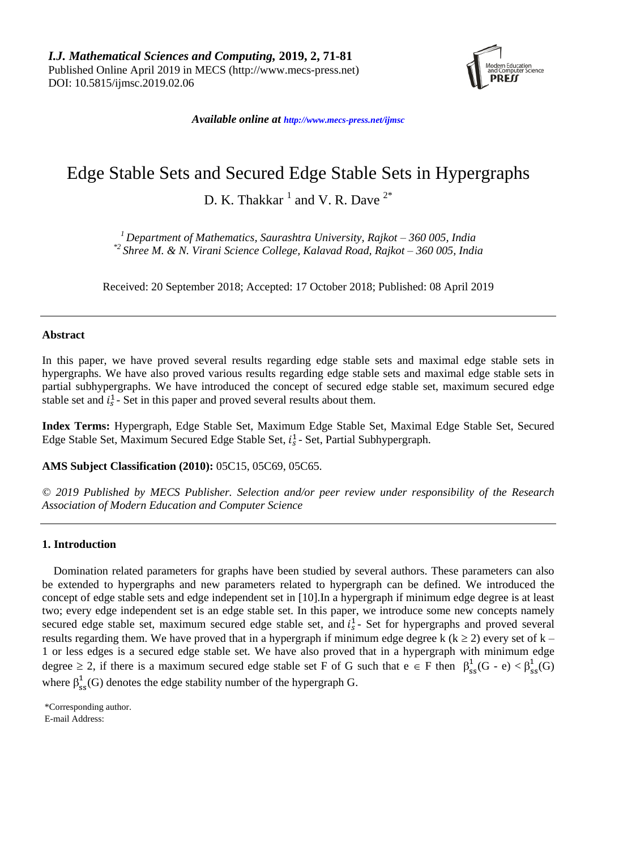

*Available online at [http://www.mecs-press.net/ijm](http://www.mecs-press.net/ijwmt)sc*

# Edge Stable Sets and Secured Edge Stable Sets in Hypergraphs

D. K. Thakkar  $^1$  and V. R. Dave  $^{2*}$ 

*<sup>1</sup> Department of Mathematics, Saurashtra University, Rajkot – 360 005, India \*2 Shree M. & N. Virani Science College, Kalavad Road, Rajkot – 360 005, India*

Received: 20 September 2018; Accepted: 17 October 2018; Published: 08 April 2019

### **Abstract**

In this paper, we have proved several results regarding edge stable sets and maximal edge stable sets in hypergraphs. We have also proved various results regarding edge stable sets and maximal edge stable sets in partial subhypergraphs. We have introduced the concept of secured edge stable set, maximum secured edge stable set and  $i_s^1$ - Set in this paper and proved several results about them.

**Index Terms:** Hypergraph, Edge Stable Set, Maximum Edge Stable Set, Maximal Edge Stable Set, Secured Edge Stable Set, Maximum Secured Edge Stable Set,  $i_s^1$ - Set, Partial Subhypergraph.

**AMS Subject Classification (2010):** 05C15, 05C69, 05C65.

*© 2019 Published by MECS Publisher. Selection and/or peer review under responsibility of the Research Association of Modern Education and Computer Science*

#### **1. Introduction**

Domination related parameters for graphs have been studied by several authors. These parameters can also be extended to hypergraphs and new parameters related to hypergraph can be defined. We introduced the concept of edge stable sets and edge independent set in [10].In a hypergraph if minimum edge degree is at least two; every edge independent set is an edge stable set. In this paper, we introduce some new concepts namely secured edge stable set, maximum secured edge stable set, and  $i<sub>s</sub><sup>1</sup>$ - Set for hypergraphs and proved several results regarding them. We have proved that in a hypergraph if minimum edge degree k ( $k \ge 2$ ) every set of  $k -$ 1 or less edges is a secured edge stable set. We have also proved that in a hypergraph with minimum edge degree  $\geq 2$ , if there is a maximum secured edge stable set F of G such that  $e \in F$  then  $\beta_{ss}^1(G - e) < \beta_{ss}^1(G)$ where  $\beta_{ss}^1(G)$  denotes the edge stability number of the hypergraph G.

\*Corresponding author. E-mail Address: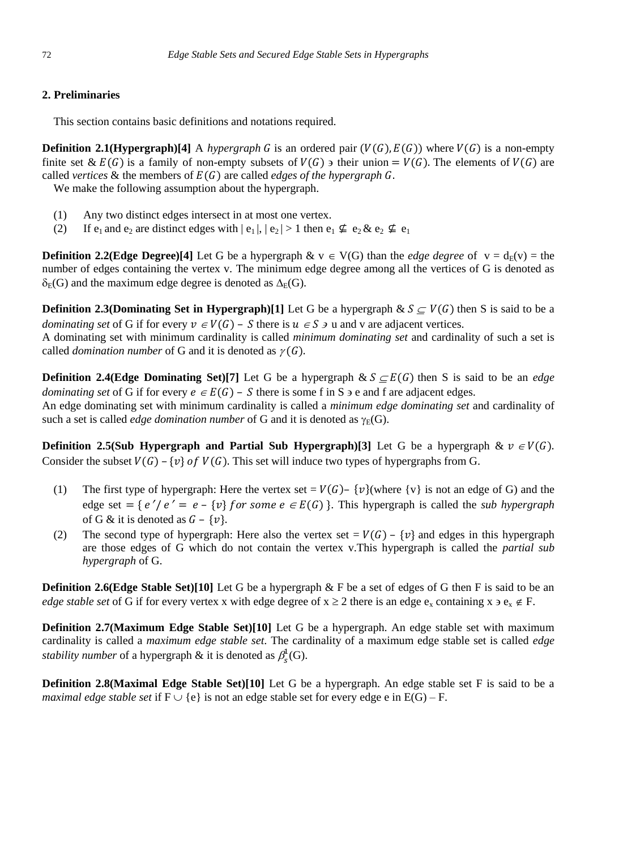## **2. Preliminaries**

This section contains basic definitions and notations required.

**Definition 2.1(Hypergraph)[4]** A *hypergraph* G is an ordered pair  $(V(G), E(G))$  where  $V(G)$  is a non-empty finite set &  $E(G)$  is a family of non-empty subsets of  $V(G)$  are their union =  $V(G)$ . The elements of  $V(G)$  are called *vertices* & the members of  $E(G)$  are called *edges of the hypergraph* G.

We make the following assumption about the hypergraph.

- (1) Any two distinct edges intersect in at most one vertex.
- (2) If  $e_1$  and  $e_2$  are distinct edges with  $|e_1|, |e_2| > 1$  then  $e_1 \nsubseteq e_2 \& e_2 \nsubseteq e_1$

**Definition 2.2(Edge Degree)[4]** Let G be a hypergraph  $\& v \in V(G)$  than the *edge degree* of  $v = d_E(v) =$  the number of edges containing the vertex v. The minimum edge degree among all the vertices of G is denoted as  $\delta_E(G)$  and the maximum edge degree is denoted as  $\Delta_E(G)$ .

**Definition 2.3(Dominating Set in Hypergraph)[1]** Let G be a hypergraph  $\& S \subseteq V(G)$  then S is said to be a *dominating set* of G if for every  $v \in V(G)$  – S there is  $u \in S$  and v are adjacent vertices.

A dominating set with minimum cardinality is called *minimum dominating set* and cardinality of such a set is called *domination number* of G and it is denoted as  $\gamma(G)$ .

**Definition 2.4(Edge Dominating Set)[7]** Let G be a hypergraph  $\& S \subseteq E(G)$  then S is said to be an *edge dominating set* of G if for every  $e \in E(G)$  – S there is some f in S  $\geq$  e and f are adjacent edges.

An edge dominating set with minimum cardinality is called a *minimum edge dominating set* and cardinality of such a set is called *edge domination number* of G and it is denoted as  $\gamma_F(G)$ .

**Definition 2.5(Sub Hypergraph and Partial Sub Hypergraph)**[3] Let G be a hypergraph  $\& \nu \in V(G)$ . Consider the subset  $V(G)$  – {v} of  $V(G)$ . This set will induce two types of hypergraphs from G.

- (1) The first type of hypergraph: Here the vertex set =  $V(G)$  {v}(where {v} is not an edge of G) and the edge set = { $e'/e' = e - {v}$ } for some  $e \in E(G)$ }. This hypergraph is called the *sub hypergraph* of G & it is denoted as  $G - \{v\}$ .
- (2) The second type of hypergraph: Here also the vertex set =  $V(G)$   $\{v\}$  and edges in this hypergraph are those edges of G which do not contain the vertex v.This hypergraph is called the *partial sub hypergraph* of G.

**Definition 2.6(Edge Stable Set)[10]** Let G be a hypergraph & F be a set of edges of G then F is said to be an *edge stable set* of G if for every vertex x with edge degree of  $x \ge 2$  there is an edge  $e_x$  containing  $x \ge e_y \notin F$ .

**Definition 2.7(Maximum Edge Stable Set)[10]** Let G be a hypergraph. An edge stable set with maximum cardinality is called a *maximum edge stable set*. The cardinality of a maximum edge stable set is called *edge stability number* of a hypergraph  $\&$  it is denoted as  $\beta_s^1(G)$ .

**Definition 2.8(Maximal Edge Stable Set)[10]** Let G be a hypergraph. An edge stable set F is said to be a *maximal edge stable set* if  $F \cup \{e\}$  is not an edge stable set for every edge e in  $E(G) - F$ .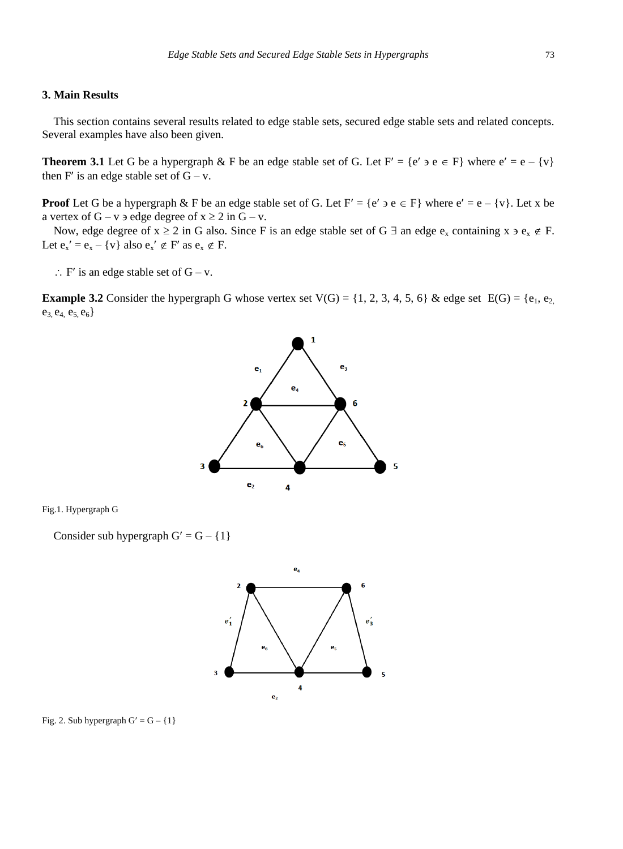## **3. Main Results**

This section contains several results related to edge stable sets, secured edge stable sets and related concepts. Several examples have also been given.

**Theorem 3.1** Let G be a hypergraph & F be an edge stable set of G. Let  $F' = \{e' \ni e \in F\}$  where  $e' = e - \{v\}$ then F' is an edge stable set of  $G - v$ .

**Proof** Let G be a hypergraph  $\&$  F be an edge stable set of G. Let F' = {e'  $\neq$  e  $\in$  F} where  $e' = e - \{v\}$ . Let x be a vertex of  $G - v$  a edge degree of  $x \ge 2$  in  $G - v$ .

Now, edge degree of  $x \ge 2$  in G also. Since F is an edge stable set of G  $\exists$  an edge  $e_x$  containing  $x \ni e_x \notin F$ . Let  $e_x' = e_x - \{v\}$  also  $e_x' \notin F'$  as  $e_x \notin F$ .

 $\therefore$  F' is an edge stable set of G – v.

**Example 3.2** Consider the hypergraph G whose vertex set  $V(G) = \{1, 2, 3, 4, 5, 6\}$  & edge set  $E(G) = \{e_1, e_2, e_3, e_4, e_5, e_6, e_7, e_8, e_9, e_9, e_1, e_2, e_4, e_6, e_7, e_8, e_9, e_9, e_9, e_1, e_2, e_4, e_6, e_7, e_8, e_9, e_9, e_9, e_1, e_2$  $e_3, e_4, e_5, e_6$ 



Fig.1. Hypergraph G

Consider sub hypergraph  $G' = G - \{1\}$ 



Fig. 2. Sub hypergraph  $G' = G - \{1\}$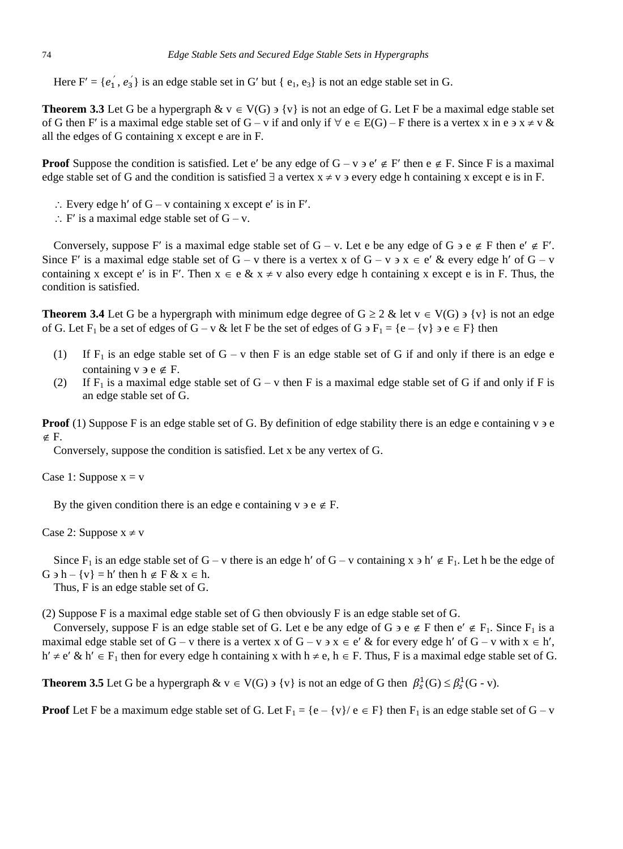Here  $F' = \{e'_1, e'_3\}$  is an edge stable set in G' but {  $e_1, e_3$ } is not an edge stable set in G.

**Theorem 3.3** Let G be a hypergraph  $\& v \in V(G)$  is not an edge of G. Let F be a maximal edge stable set of G then F' is a maximal edge stable set of  $G - v$  if and only if  $\forall e \in E(G) - F$  there is a vertex x in e  $x \neq v \&$ all the edges of G containing x except e are in F.

**Proof** Suppose the condition is satisfied. Let e' be any edge of  $G - v$   $\neq e$  F' then  $e \notin F$ . Since F is a maximal edge stable set of G and the condition is satisfied  $\exists$  a vertex  $x \neq v$  a very edge h containing x except e is in F.

- $\therefore$  Every edge h' of G v containing x except e' is in F'.
- $\therefore$  F' is a maximal edge stable set of G v.

Conversely, suppose F' is a maximal edge stable set of  $G - v$ . Let e be any edge of  $G \ni e \notin F$  then  $e' \notin F'$ . Since F' is a maximal edge stable set of G – v there is a vertex x of  $G - v \rightarrow x \in e'$  & every edge h' of  $G - v$ containing x except e' is in F'. Then  $x \in e \& x \neq v$  also every edge h containing x except e is in F. Thus, the condition is satisfied.

**Theorem 3.4** Let G be a hypergraph with minimum edge degree of  $G \ge 2$  & let  $v \in V(G)$  >  $\{v\}$  is not an edge of G. Let  $F_1$  be a set of edges of  $G - v \&$  let F be the set of edges of  $G \ni F_1 = \{e - \{v\} \ni e \in F\}$  then

- (1) If  $F_1$  is an edge stable set of G v then F is an edge stable set of G if and only if there is an edge e containing  $v \ni e \notin F$ .
- (2) If F<sub>1</sub> is a maximal edge stable set of  $G v$  then F is a maximal edge stable set of G if and only if F is an edge stable set of G.

**Proof** (1) Suppose F is an edge stable set of G. By definition of edge stability there is an edge e containing  $v \ge e$  $\notin$  F.

Conversely, suppose the condition is satisfied. Let x be any vertex of G.

Case 1: Suppose  $x = v$ 

By the given condition there is an edge e containing  $v \ni e \notin F$ .

Case 2: Suppose  $x \neq v$ 

Since  $F_1$  is an edge stable set of  $G - v$  there is an edge h' of  $G - v$  containing x  $\geq$  h'  $\notin$   $F_1$ . Let h be the edge of  $G \ni h - \{v\} = h'$  then  $h \notin F \& x \in h$ .

Thus, F is an edge stable set of G.

(2) Suppose F is a maximal edge stable set of G then obviously F is an edge stable set of G.

Conversely, suppose F is an edge stable set of G. Let e be any edge of G  $\geq e \notin F$  then  $e' \notin F_1$ . Since  $F_1$  is a maximal edge stable set of G – v there is a vertex x of G – v  $\alpha$  x  $\in$  e' & for every edge h' of G – v with  $x \in h'$ ,  $h' \neq e' \& h' \in F_1$  then for every edge h containing x with  $h \neq e$ ,  $h \in F$ . Thus, F is a maximal edge stable set of G.

**Theorem 3.5** Let G be a hypergraph  $\& v \in V(G) \ni \{v\}$  is not an edge of G then  $\beta_s^1(G) \leq \beta_s^1(G - v)$ .

**Proof** Let F be a maximum edge stable set of G. Let  $F_1 = \{e - \{v\}/e \in F\}$  then  $F_1$  is an edge stable set of  $G - v$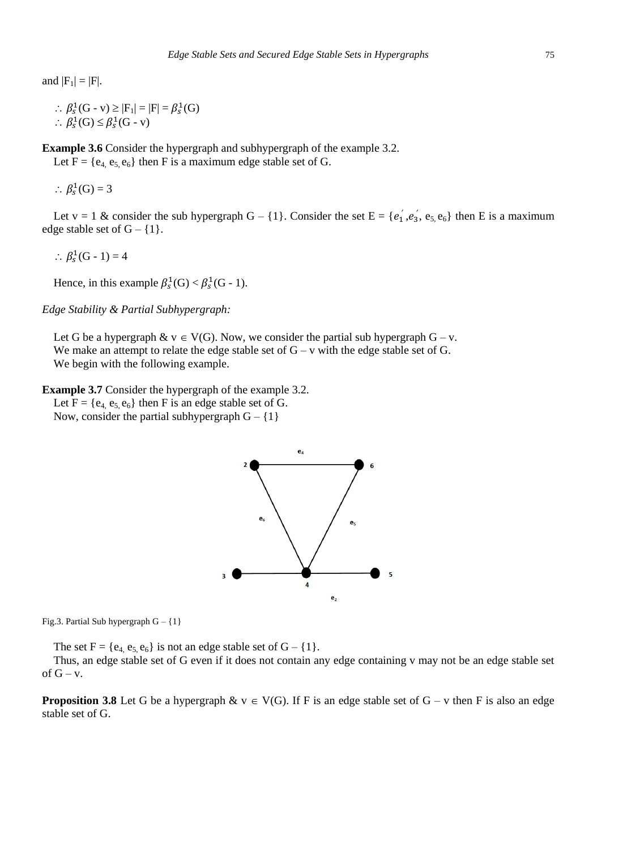and  $|F_1| = |F|$ .

```
∴ \beta_s^1(G - v) \ge |F_1| = |F| = \beta_s^1(G)\therefore \beta_s^1(G) \leq \beta_s^1(G - v)
```
**Example 3.6** Consider the hypergraph and subhypergraph of the example 3.2.

Let  $F = \{e_4, e_5, e_6\}$  then F is a maximum edge stable set of G.

 $\therefore \beta_s^1(G) = 3$ 

Let  $v = 1$  & consider the sub hypergraph  $G - \{1\}$ . Consider the set  $E = \{e'_1, e'_3, e_5, e_6\}$  then E is a maximum edge stable set of  $G - \{1\}$ .

 $\therefore \beta_s^1(G-1) = 4$ 

Hence, in this example  $\beta_s^1(G) < \beta_s^1(G - 1)$ .

*Edge Stability & Partial Subhypergraph:*

Let G be a hypergraph  $\& v \in V(G)$ . Now, we consider the partial sub hypergraph  $G - v$ . We make an attempt to relate the edge stable set of  $G - v$  with the edge stable set of  $G$ . We begin with the following example.

**Example 3.7** Consider the hypergraph of the example 3.2. Let  $F = \{e_4, e_5, e_6\}$  then F is an edge stable set of G.

Now, consider the partial subhypergraph  $G - \{1\}$ 



Fig.3. Partial Sub hypergraph  $G - \{1\}$ 

The set  $F = \{e_4, e_5, e_6\}$  is not an edge stable set of  $G - \{1\}$ .

Thus, an edge stable set of G even if it does not contain any edge containing v may not be an edge stable set of  $G - v$ .

**Proposition 3.8** Let G be a hypergraph  $\& v \in V(G)$ . If F is an edge stable set of G – v then F is also an edge stable set of G.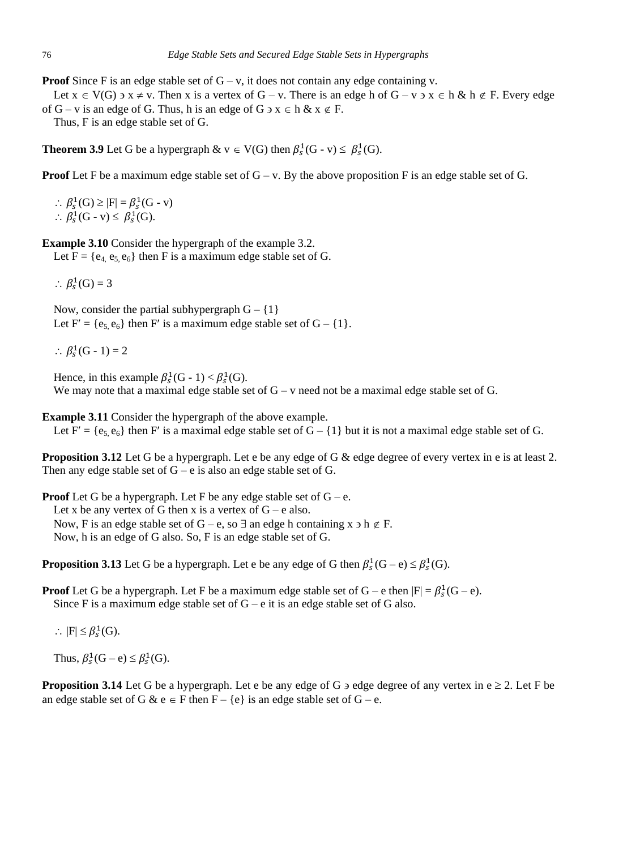**Proof** Since F is an edge stable set of  $G - v$ , it does not contain any edge containing v.

Let  $x \in V(G)$   $\Rightarrow$   $x \neq v$ . Then x is a vertex of  $G - v$ . There is an edge h of  $G - v \Rightarrow x \in h \& h \notin F$ . Every edge of  $G - v$  is an edge of G. Thus, h is an edge of  $G \ni x \in h \& x \notin F$ .

Thus, F is an edge stable set of G.

**Theorem 3.9** Let G be a hypergraph  $\& \text{ } v \in V(G)$  then  $\beta_s^1(G - v) \leq \beta_s^1(G)$ .

**Proof** Let F be a maximum edge stable set of  $G - v$ . By the above proposition F is an edge stable set of G.

 $\therefore \beta_s^1(G) \geq |F| = \beta_s^1(G - v)$  $\therefore \beta_s^1(G - v) \leq \beta_s^1(G).$ 

**Example 3.10** Consider the hypergraph of the example 3.2.

Let  $F = \{e_4, e_5, e_6\}$  then F is a maximum edge stable set of G.

 $\therefore \beta_s^1(G) = 3$ 

Now, consider the partial subhypergraph  $G - \{1\}$ Let  $F' = \{e_5, e_6\}$  then F' is a maximum edge stable set of  $G - \{1\}$ .

 $\therefore \beta_s^1(G-1) = 2$ 

Hence, in this example  $\beta_s^1(G-1) < \beta_s^1(G)$ . We may note that a maximal edge stable set of  $G - v$  need not be a maximal edge stable set of  $G$ .

**Example 3.11** Consider the hypergraph of the above example. Let F' = { $e_5$ ,  $e_6$ } then F' is a maximal edge stable set of G – {1} but it is not a maximal edge stable set of G.

**Proposition 3.12** Let G be a hypergraph. Let e be any edge of G & edge degree of every vertex in e is at least 2. Then any edge stable set of  $G - e$  is also an edge stable set of  $G$ .

**Proof** Let G be a hypergraph. Let F be any edge stable set of  $G - e$ . Let x be any vertex of G then x is a vertex of  $G - e$  also. Now, F is an edge stable set of G – e, so  $\exists$  an edge h containing x  $\exists$  h  $\notin$  F. Now, h is an edge of G also. So, F is an edge stable set of G.

**Proposition 3.13** Let G be a hypergraph. Let e be any edge of G then  $\beta_s^1(G-e) \leq \beta_s^1(G)$ .

**Proof** Let G be a hypergraph. Let F be a maximum edge stable set of  $G - e$  then  $|F| = \beta_s^1(G - e)$ . Since F is a maximum edge stable set of  $G - e$  it is an edge stable set of G also.

 $\therefore$  |F|  $\leq \beta_s^1(G)$ .

Thus,  $\beta_s^1(G-e) \leq \beta_s^1(G)$ .

**Proposition 3.14** Let G be a hypergraph. Let e be any edge of G  $\overline{5}$  edge degree of any vertex in  $e \ge 2$ . Let F be an edge stable set of G & e  $\in$  F then F – {e} is an edge stable set of G – e.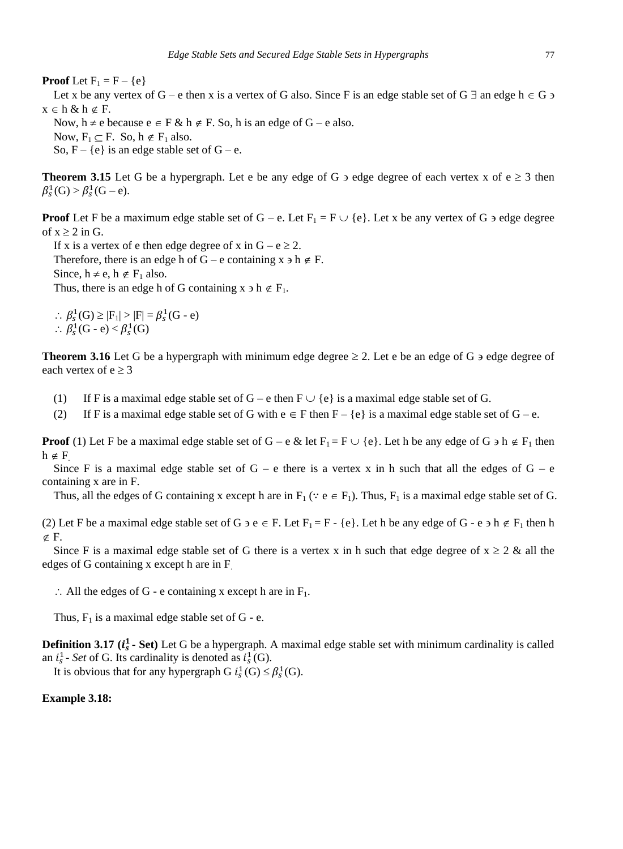**Proof** Let  $F_1 = F - \{e\}$ 

Let x be any vertex of G – e then x is a vertex of G also. Since F is an edge stable set of G  $\exists$  an edge h  $\in$  G  $\ni$  $x \in h \& h \notin F$ .

Now,  $h \neq e$  because  $e \in F \& h \notin F$ . So, h is an edge of  $G - e$  also. Now,  $F_1 \subset F$ . So,  $h \notin F_1$  also. So,  $F - \{e\}$  is an edge stable set of  $G - e$ .

**Theorem 3.15** Let G be a hypergraph. Let e be any edge of G  $\overline{5}$  edge degree of each vertex x of  $e \ge 3$  then  $\beta_s^1(G) > \beta_s^1(G-e).$ 

**Proof** Let F be a maximum edge stable set of  $G - e$ . Let  $F_1 = F \cup \{e\}$ . Let x be any vertex of  $G$  a edge degree of  $x \geq 2$  in G.

If x is a vertex of e then edge degree of x in  $G - e \ge 2$ . Therefore, there is an edge h of G – e containing  $x \ni h \notin F$ . Since,  $h \neq e$ ,  $h \notin F_1$  also. Thus, there is an edge h of G containing  $x \ni h \notin F_1$ .

 $\therefore \beta_s^1(G) \geq |F_1| > |F| = \beta_s^1(G - e)$  $\therefore \beta_s^1(G - e) < \beta_s^1(G)$ 

**Theorem 3.16** Let G be a hypergraph with minimum edge degree  $\geq 2$ . Let e be an edge of G  $\geq$  edge degree of each vertex of  $e \ge 3$ 

- (1) If F is a maximal edge stable set of  $G e$  then  $F \cup \{e\}$  is a maximal edge stable set of G.
- (2) If F is a maximal edge stable set of G with  $e \in F$  then  $F \{e\}$  is a maximal edge stable set of G e.

**Proof** (1) Let F be a maximal edge stable set of G – e & let  $F_1 = F \cup \{e\}$ . Let h be any edge of G  $\geq$  h  $\notin$  F<sub>1</sub> then  $h \notin F$ 

Since F is a maximal edge stable set of  $G - e$  there is a vertex x in h such that all the edges of  $G - e$ containing x are in F.

Thus, all the edges of G containing x except h are in  $F_1$  ( $\because$   $e \in F_1$ ). Thus,  $F_1$  is a maximal edge stable set of G.

(2) Let F be a maximal edge stable set of G  $\geq e \in F$ . Let  $F_1 = F - \{e\}$ . Let h be any edge of G - e  $\geq \frac{F_1}{F_1}$  then h  $\notin$  F.

Since F is a maximal edge stable set of G there is a vertex x in h such that edge degree of  $x \ge 2$  & all the edges of G containing x except h are in F.

 $\therefore$  All the edges of G - e containing x except h are in F<sub>1</sub>.

Thus,  $F_1$  is a maximal edge stable set of G - e.

**Definition 3.17 (** $i_s^1$  **- Set)** Let G be a hypergraph. A maximal edge stable set with minimum cardinality is called an  $i_s^1$ - *Set* of G. Its cardinality is denoted as  $i_s^1(G)$ .

It is obvious that for any hypergraph G  $i_s^1(G) \leq \beta_s^1(G)$ .

#### **Example 3.18:**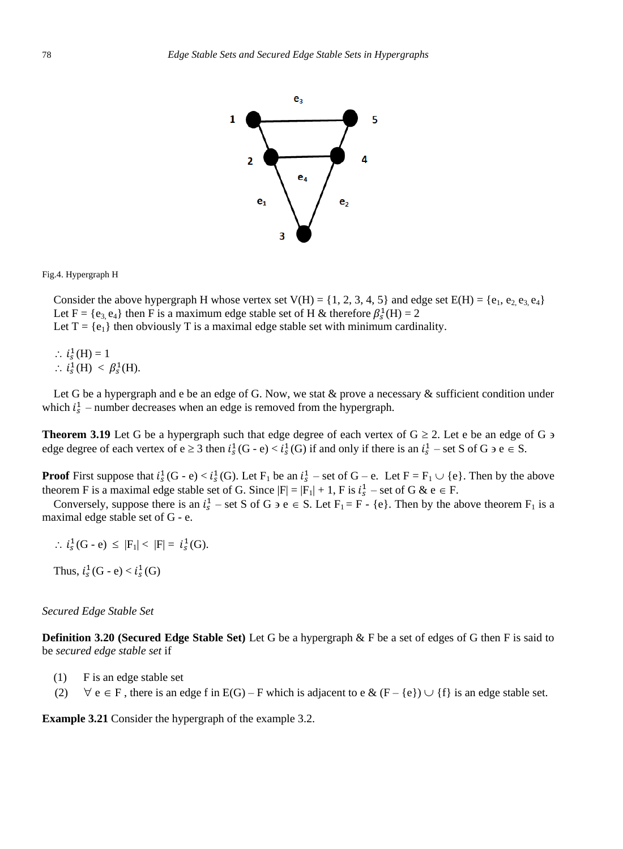

Fig.4. Hypergraph H

Consider the above hypergraph H whose vertex set  $V(H) = \{1, 2, 3, 4, 5\}$  and edge set  $E(H) = \{e_1, e_2, e_3, e_4\}$ Let F = { $e_3$ ,  $e_4$ } then F is a maximum edge stable set of H & therefore  $\beta_s^1(H) = 2$ Let  $T = \{e_1\}$  then obviously T is a maximal edge stable set with minimum cardinality.

 $\therefore i_s^1(H) = 1$  $\therefore i_s^1(H) < \beta_s^1(H).$ 

Let G be a hypergraph and e be an edge of G. Now, we stat & prove a necessary & sufficient condition under which  $i_s^1$  – number decreases when an edge is removed from the hypergraph.

**Theorem 3.19** Let G be a hypergraph such that edge degree of each vertex of  $G \ge 2$ . Let e be an edge of G  $\ge$ edge degree of each vertex of  $e \ge 3$  then  $i_s^1(G - e) < i_s^1(G)$  if and only if there is an  $i_s^1$  – set S of G  $\ge$  e  $\in$  S.

**Proof** First suppose that  $i_s^1(G - e) < i_s^1(G)$ . Let  $F_1$  be an  $i_s^1$  – set of  $G - e$ . Let  $F = F_1 \cup \{e\}$ . Then by the above theorem F is a maximal edge stable set of G. Since  $|F| = |F_1| + 1$ , F is  $i_s^1$  – set of G & e  $\in$  F.

Conversely, suppose there is an  $i_s^1$  – set S of G  $\geq e \in S$ . Let  $F_1 = F - \{e\}$ . Then by the above theorem  $F_1$  is a maximal edge stable set of G - e.

 $\therefore i_S^1(G - e) \leq |F_1| < |F| = i_S^1(G).$ 

Thus,  $i_s^1(G - e) < i_s^1(G)$ 

#### *Secured Edge Stable Set*

**Definition 3.20 (Secured Edge Stable Set)** Let G be a hypergraph & F be a set of edges of G then F is said to be *secured edge stable set* if

- (1) F is an edge stable set
- (2)  $\forall e \in F$ , there is an edge f in E(G) F which is adjacent to e & (F {e})  $\cup$  {f} is an edge stable set.

**Example 3.21** Consider the hypergraph of the example 3.2.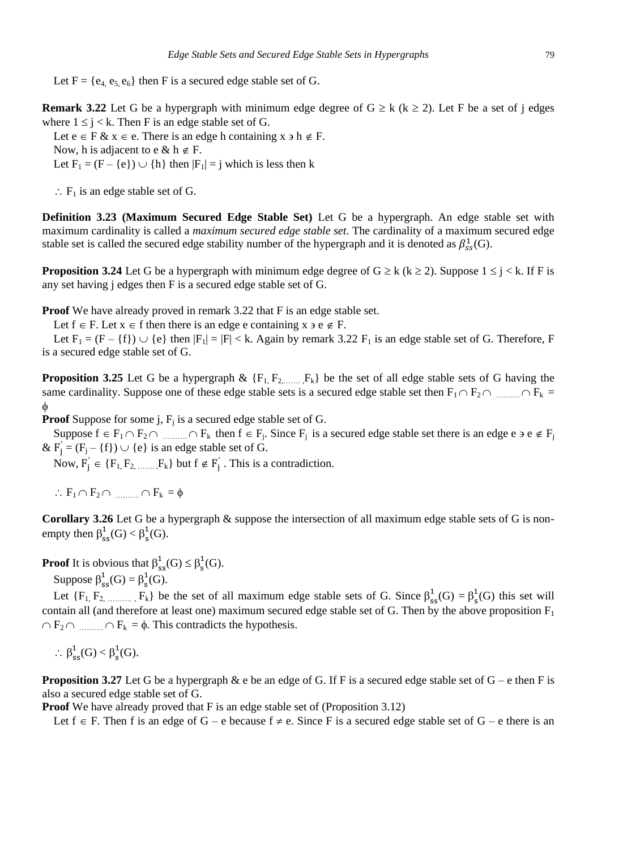Let  $F = \{e_4, e_5, e_6\}$  then F is a secured edge stable set of G.

**Remark 3.22** Let G be a hypergraph with minimum edge degree of  $G \ge k$  ( $k \ge 2$ ). Let F be a set of j edges where  $1 \le j \le k$ . Then F is an edge stable set of G.

Let  $e \in F \& x \in e$ . There is an edge h containing  $x \ni h \notin F$ .

Now, h is adjacent to e & h  $\notin$  F.

Let  $F_1 = (F - \{e\}) \cup \{h\}$  then  $|F_1| = j$  which is less then k

 $\therefore$  F<sub>1</sub> is an edge stable set of G.

**Definition 3.23 (Maximum Secured Edge Stable Set)** Let G be a hypergraph. An edge stable set with maximum cardinality is called a *maximum secured edge stable set*. The cardinality of a maximum secured edge stable set is called the secured edge stability number of the hypergraph and it is denoted as  $\beta_{ss}^1(G)$ .

**Proposition 3.24** Let G be a hypergraph with minimum edge degree of  $G \ge k$  ( $k \ge 2$ ). Suppose  $1 \le i \le k$ . If F is any set having j edges then F is a secured edge stable set of G.

**Proof** We have already proved in remark 3.22 that F is an edge stable set.

Let  $f \in F$ . Let  $x \in f$  then there is an edge e containing  $x \ni e \notin F$ .

Let  $F_1 = (F - \{f\}) \cup \{e\}$  then  $|F_1| = |F| < k$ . Again by remark 3.22  $F_1$  is an edge stable set of G. Therefore, F is a secured edge stable set of G.

**Proposition 3.25** Let G be a hypergraph  $\& \{F_1, F_2, \ldots, F_k\}$  be the set of all edge stable sets of G having the same cardinality. Suppose one of these edge stable sets is a secured edge stable set then  $F_1 \cap F_2 \cap \dots \cap F_k =$ φ

**Proof** Suppose for some  $j$ ,  $F_j$  is a secured edge stable set of G.

Suppose  $f \in F_1 \cap F_2 \cap \dots \cap F_k$  then  $f \in F_j$ . Since  $F_j$  is a secured edge stable set there is an edge e  $g \in F_j$ &  $F'_{j} = (F_{j} - \{f\}) \cup \{e\}$  is an edge stable set of G.

Now,  $F'_j \in \{F_1, F_2, \dots, F_k\}$  but  $f \notin F'_j$ . This is a contradiction.

 $\therefore$   $F_1 \cap F_2 \cap \dots \cap F_k = \phi$ 

**Corollary 3.26** Let G be a hypergraph & suppose the intersection of all maximum edge stable sets of G is nonempty then  $\beta_{ss}^1(G) < \beta_s^1(G)$ .

**Proof** It is obvious that  $\beta_{ss}^1(G) \leq \beta_s^1(G)$ .

Suppose  $\beta_{ss}^1(G) = \beta_s^1(G)$ .

Let  $\{F_1, F_2, \dots, F_k\}$  be the set of all maximum edge stable sets of G. Since  $\beta_{ss}^1(G) = \beta_s^1(G)$  this set will contain all (and therefore at least one) maximum secured edge stable set of G. Then by the above proposition  $F_1$  $\cap$   $F_2 \cap$  ..........  $\cap$   $F_k = \phi$ . This contradicts the hypothesis.

 $\therefore \ \beta_{ss}^1(G) < \beta_{s}^1(G).$ 

**Proposition 3.27** Let G be a hypergraph  $\&$  e be an edge of G. If F is a secured edge stable set of  $G - e$  then F is also a secured edge stable set of G.

**Proof** We have already proved that F is an edge stable set of (Proposition 3.12)

Let  $f \in F$ . Then f is an edge of  $G - e$  because  $f \neq e$ . Since F is a secured edge stable set of  $G - e$  there is an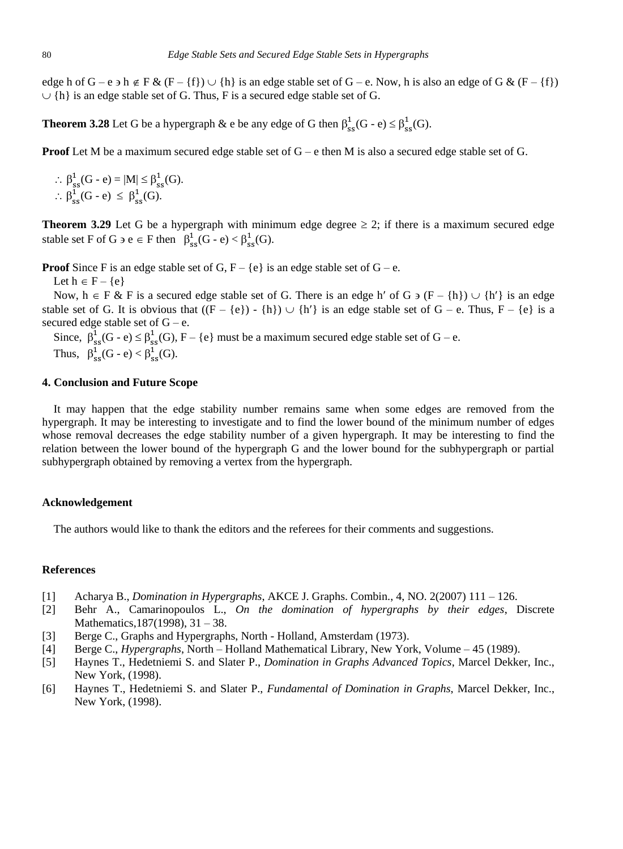edge h of  $G - e \ni h \notin F \& (F - \{f\}) \cup \{h\}$  is an edge stable set of  $G - e$ . Now, h is also an edge of  $G \& (F - \{f\})$  $\cup$  {h} is an edge stable set of G. Thus, F is a secured edge stable set of G.

**Theorem 3.28** Let G be a hypergraph & e be any edge of G then  $\beta_{ss}^1(G - e) \leq \beta_{ss}^1(G)$ .

**Proof** Let M be a maximum secured edge stable set of G – e then M is also a secured edge stable set of G.

 $\therefore \beta_{ss}^1(G - e) = |M| \leq \beta_{ss}^1(G).$  $\therefore \beta_{ss}^1(G-e) \leq \beta_{ss}^1(G).$ 

**Theorem 3.29** Let G be a hypergraph with minimum edge degree  $\geq 2$ ; if there is a maximum secured edge stable set F of G  $\Rightarrow$  e  $\in$  F then  $\beta_{ss}^1(G - e) < \beta_{ss}^1(G)$ .

**Proof** Since F is an edge stable set of G,  $F - \{e\}$  is an edge stable set of  $G - e$ .

Let  $h \in F - \{e\}$ 

Now,  $h \in F \& F$  is a secured edge stable set of G. There is an edge h' of G  $\supset F - \{h\} \cup \{h'\}$  is an edge stable set of G. It is obvious that  $((F - \{e\}) - \{h\}) \cup \{h'\}$  is an edge stable set of  $G - e$ . Thus,  $F - \{e\}$  is a secured edge stable set of  $G - e$ .

Since,  $\beta_{ss}^1(G - e) \leq \beta_{ss}^1(G), F - \{e\}$  must be a maximum secured edge stable set of  $G - e$ . Thus,  $\beta_{ss}^1(G - e) < \beta_{ss}^1(G)$ .

## **4. Conclusion and Future Scope**

It may happen that the edge stability number remains same when some edges are removed from the hypergraph. It may be interesting to investigate and to find the lower bound of the minimum number of edges whose removal decreases the edge stability number of a given hypergraph. It may be interesting to find the relation between the lower bound of the hypergraph G and the lower bound for the subhypergraph or partial subhypergraph obtained by removing a vertex from the hypergraph.

#### **Acknowledgement**

The authors would like to thank the editors and the referees for their comments and suggestions.

#### **References**

- [1] Acharya B., *Domination in Hypergraphs*, AKCE J. Graphs. Combin., 4, NO. 2(2007) 111 126.
- [2] Behr A., Camarinopoulos L., *On the domination of hypergraphs by their edges*, Discrete Mathematics,187(1998), 31 – 38.
- [3] Berge C., Graphs and Hypergraphs, North Holland, Amsterdam (1973).
- [4] Berge C., *Hypergraphs*, North Holland Mathematical Library, New York, Volume 45 (1989).
- [5] Haynes T., Hedetniemi S. and Slater P., *Domination in Graphs Advanced Topics*, Marcel Dekker, Inc., New York, (1998).
- [6] Haynes T., Hedetniemi S. and Slater P., *Fundamental of Domination in Graphs*, Marcel Dekker, Inc., New York, (1998).